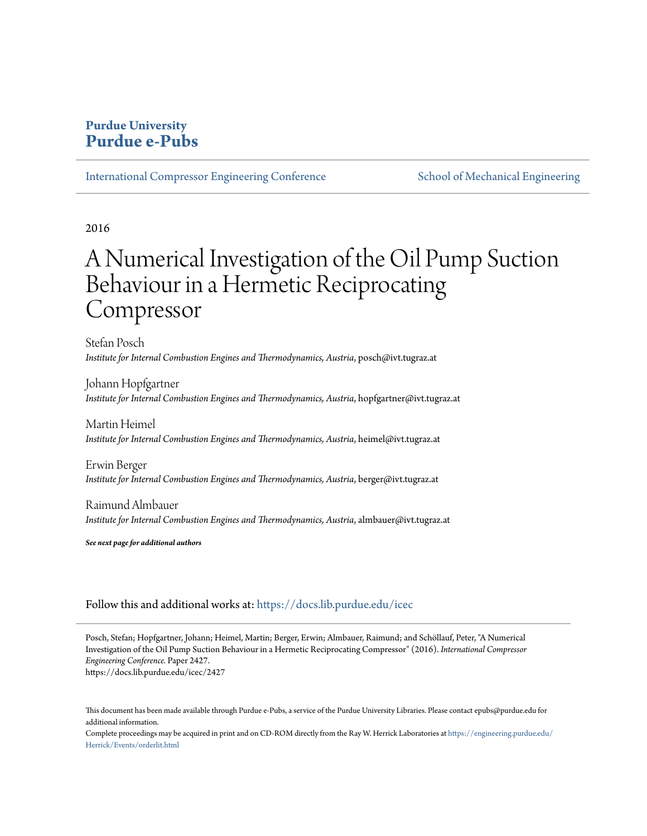# **Purdue University [Purdue e-Pubs](https://docs.lib.purdue.edu?utm_source=docs.lib.purdue.edu%2Ficec%2F2427&utm_medium=PDF&utm_campaign=PDFCoverPages)**

[International Compressor Engineering Conference](https://docs.lib.purdue.edu/icec?utm_source=docs.lib.purdue.edu%2Ficec%2F2427&utm_medium=PDF&utm_campaign=PDFCoverPages) [School of Mechanical Engineering](https://docs.lib.purdue.edu/me?utm_source=docs.lib.purdue.edu%2Ficec%2F2427&utm_medium=PDF&utm_campaign=PDFCoverPages)

2016

# A Numerical Investigation of the Oil Pump Suction Behaviour in a Hermetic Reciprocating Compressor

Stefan Posch *Institute for Internal Combustion Engines and Thermodynamics, Austria*, posch@ivt.tugraz.at

Johann Hopfgartner *Institute for Internal Combustion Engines and Thermodynamics, Austria*, hopfgartner@ivt.tugraz.at

Martin Heimel *Institute for Internal Combustion Engines and Thermodynamics, Austria*, heimel@ivt.tugraz.at

Erwin Berger *Institute for Internal Combustion Engines and Thermodynamics, Austria*, berger@ivt.tugraz.at

Raimund Almbauer *Institute for Internal Combustion Engines and Thermodynamics, Austria*, almbauer@ivt.tugraz.at

*See next page for additional authors*

Follow this and additional works at: [https://docs.lib.purdue.edu/icec](https://docs.lib.purdue.edu/icec?utm_source=docs.lib.purdue.edu%2Ficec%2F2427&utm_medium=PDF&utm_campaign=PDFCoverPages)

Posch, Stefan; Hopfgartner, Johann; Heimel, Martin; Berger, Erwin; Almbauer, Raimund; and Schöllauf, Peter, "A Numerical Investigation of the Oil Pump Suction Behaviour in a Hermetic Reciprocating Compressor" (2016). *International Compressor Engineering Conference.* Paper 2427. https://docs.lib.purdue.edu/icec/2427

This document has been made available through Purdue e-Pubs, a service of the Purdue University Libraries. Please contact epubs@purdue.edu for additional information.

Complete proceedings may be acquired in print and on CD-ROM directly from the Ray W. Herrick Laboratories at [https://engineering.purdue.edu/](https://engineering.purdue.edu/Herrick/Events/orderlit.html) [Herrick/Events/orderlit.html](https://engineering.purdue.edu/Herrick/Events/orderlit.html)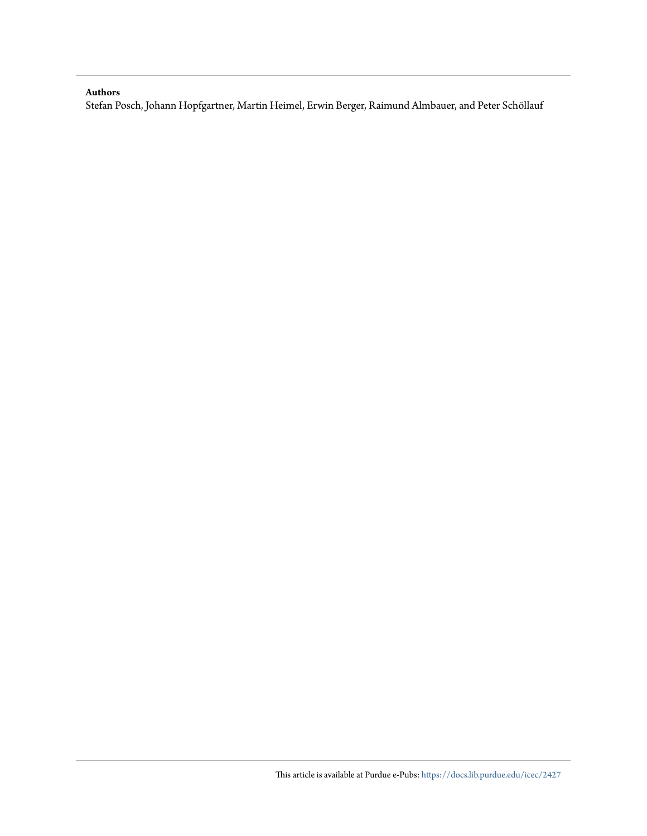#### **Authors**

Stefan Posch, Johann Hopfgartner, Martin Heimel, Erwin Berger, Raimund Almbauer, and Peter Schöllauf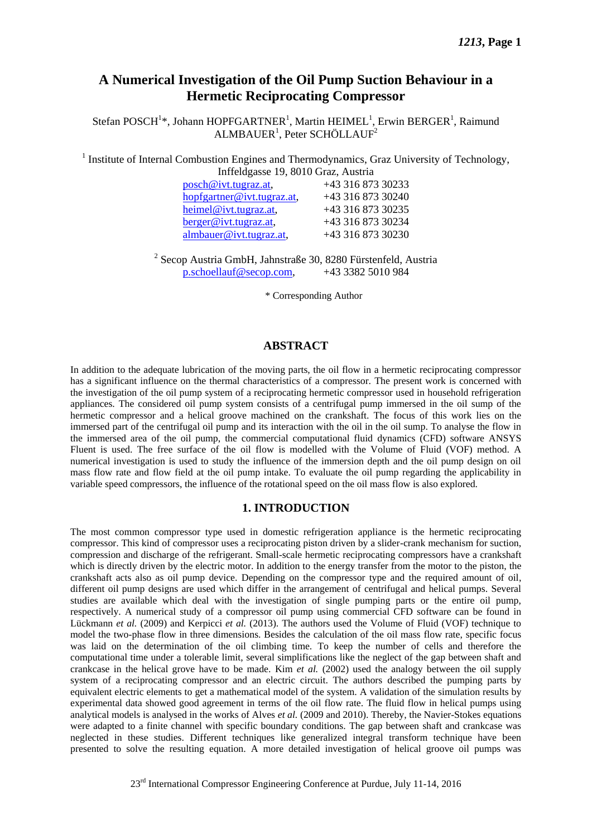# **A Numerical Investigation of the Oil Pump Suction Behaviour in a Hermetic Reciprocating Compressor**

Stefan POSCH<sup>1</sup>\*, Johann HOPFGARTNER<sup>1</sup>, Martin HEIMEL<sup>1</sup>, Erwin BERGER<sup>1</sup>, Raimund  $\mathrm{ALMBAUER}^1,$  Peter SCHÖLLAUF $^2$ 

<sup>1</sup> Institute of Internal Combustion Engines and Thermodynamics, Graz University of Technology, Inffeldgasse 19, 8010 Graz, Austria

| mnologasse 17, 0010 Oraz, <i>T</i> rastria |                   |  |  |  |  |
|--------------------------------------------|-------------------|--|--|--|--|
| posch@ivt.tugraz.at,                       | +43 316 873 30233 |  |  |  |  |
| hopfgartner@ivt.tugraz.at,                 | +43 316 873 30240 |  |  |  |  |
| heimel@ivt.tugraz.at,                      | +43 316 873 30235 |  |  |  |  |
| berger@ivt.tugraz.at,                      | +43 316 873 30234 |  |  |  |  |
| almbauer@ivt.tugraz.at,                    | +43 316 873 30230 |  |  |  |  |

2 Secop Austria GmbH, Jahnstraße 30, 8280 Fürstenfeld, Austria [p.schoellauf@secop.com,](mailto:p.schoellauf@secop.com) +43 3382 5010 984

\* Corresponding Author

## **ABSTRACT**

In addition to the adequate lubrication of the moving parts, the oil flow in a hermetic reciprocating compressor has a significant influence on the thermal characteristics of a compressor. The present work is concerned with the investigation of the oil pump system of a reciprocating hermetic compressor used in household refrigeration appliances. The considered oil pump system consists of a centrifugal pump immersed in the oil sump of the hermetic compressor and a helical groove machined on the crankshaft. The focus of this work lies on the immersed part of the centrifugal oil pump and its interaction with the oil in the oil sump. To analyse the flow in the immersed area of the oil pump, the commercial computational fluid dynamics (CFD) software ANSYS Fluent is used. The free surface of the oil flow is modelled with the Volume of Fluid (VOF) method. A numerical investigation is used to study the influence of the immersion depth and the oil pump design on oil mass flow rate and flow field at the oil pump intake. To evaluate the oil pump regarding the applicability in variable speed compressors, the influence of the rotational speed on the oil mass flow is also explored.

# **1. INTRODUCTION**

The most common compressor type used in domestic refrigeration appliance is the hermetic reciprocating compressor. This kind of compressor uses a reciprocating piston driven by a slider-crank mechanism for suction, compression and discharge of the refrigerant. Small-scale hermetic reciprocating compressors have a crankshaft which is directly driven by the electric motor. In addition to the energy transfer from the motor to the piston, the crankshaft acts also as oil pump device. Depending on the compressor type and the required amount of oil, different oil pump designs are used which differ in the arrangement of centrifugal and helical pumps. Several studies are available which deal with the investigation of single pumping parts or the entire oil pump, respectively. A numerical study of a compressor oil pump using commercial CFD software can be found in Lückmann *et al.* (2009) and Kerpicci *et al.* (2013). The authors used the Volume of Fluid (VOF) technique to model the two-phase flow in three dimensions. Besides the calculation of the oil mass flow rate, specific focus was laid on the determination of the oil climbing time. To keep the number of cells and therefore the computational time under a tolerable limit, several simplifications like the neglect of the gap between shaft and crankcase in the helical grove have to be made. Kim *et al.* (2002) used the analogy between the oil supply system of a reciprocating compressor and an electric circuit. The authors described the pumping parts by equivalent electric elements to get a mathematical model of the system. A validation of the simulation results by experimental data showed good agreement in terms of the oil flow rate. The fluid flow in helical pumps using analytical models is analysed in the works of Alves *et al.* (2009 and 2010). Thereby, the Navier-Stokes equations were adapted to a finite channel with specific boundary conditions. The gap between shaft and crankcase was neglected in these studies. Different techniques like generalized integral transform technique have been presented to solve the resulting equation. A more detailed investigation of helical groove oil pumps was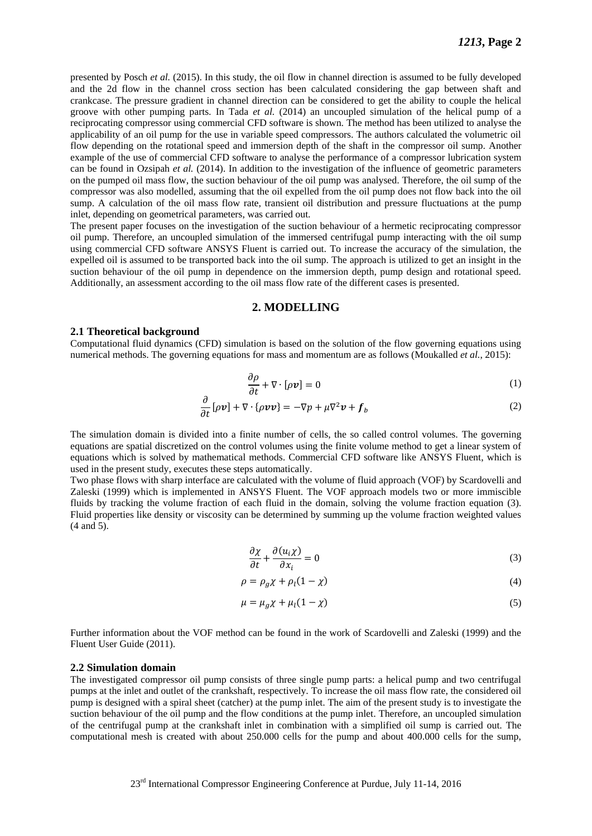presented by Posch *et al.* (2015). In this study, the oil flow in channel direction is assumed to be fully developed and the 2d flow in the channel cross section has been calculated considering the gap between shaft and crankcase. The pressure gradient in channel direction can be considered to get the ability to couple the helical groove with other pumping parts. In Tada *et al.* (2014) an uncoupled simulation of the helical pump of a reciprocating compressor using commercial CFD software is shown. The method has been utilized to analyse the applicability of an oil pump for the use in variable speed compressors. The authors calculated the volumetric oil flow depending on the rotational speed and immersion depth of the shaft in the compressor oil sump. Another example of the use of commercial CFD software to analyse the performance of a compressor lubrication system can be found in Ozsipah *et al.* (2014). In addition to the investigation of the influence of geometric parameters on the pumped oil mass flow, the suction behaviour of the oil pump was analysed. Therefore, the oil sump of the compressor was also modelled, assuming that the oil expelled from the oil pump does not flow back into the oil sump. A calculation of the oil mass flow rate, transient oil distribution and pressure fluctuations at the pump inlet, depending on geometrical parameters, was carried out.

The present paper focuses on the investigation of the suction behaviour of a hermetic reciprocating compressor oil pump. Therefore, an uncoupled simulation of the immersed centrifugal pump interacting with the oil sump using commercial CFD software ANSYS Fluent is carried out. To increase the accuracy of the simulation, the expelled oil is assumed to be transported back into the oil sump. The approach is utilized to get an insight in the suction behaviour of the oil pump in dependence on the immersion depth, pump design and rotational speed. Additionally, an assessment according to the oil mass flow rate of the different cases is presented.

#### **2. MODELLING**

#### **2.1 Theoretical background**

 $\sim$ 

Computational fluid dynamics (CFD) simulation is based on the solution of the flow governing equations using numerical methods. The governing equations for mass and momentum are as follows (Moukalled *et al.*, 2015):

$$
\frac{\partial \rho}{\partial t} + \nabla \cdot [\rho \nu] = 0 \tag{1}
$$

$$
\frac{\partial}{\partial t}[\rho v] + \nabla \cdot {\rho v v} = -\nabla p + \mu \nabla^2 v + f_b \tag{2}
$$

The simulation domain is divided into a finite number of cells, the so called control volumes. The governing equations are spatial discretized on the control volumes using the finite volume method to get a linear system of equations which is solved by mathematical methods. Commercial CFD software like ANSYS Fluent, which is used in the present study, executes these steps automatically.

Two phase flows with sharp interface are calculated with the volume of fluid approach (VOF) by Scardovelli and Zaleski (1999) which is implemented in ANSYS Fluent. The VOF approach models two or more immiscible fluids by tracking the volume fraction of each fluid in the domain, solving the volume fraction equation (3). Fluid properties like density or viscosity can be determined by summing up the volume fraction weighted values (4 and 5).

$$
\frac{\partial \chi}{\partial t} + \frac{\partial (u_i \chi)}{\partial x_i} = 0 \tag{3}
$$

$$
\rho = \rho_g \chi + \rho_l (1 - \chi) \tag{4}
$$

$$
\mu = \mu_g \chi + \mu_l (1 - \chi) \tag{5}
$$

Further information about the VOF method can be found in the work of Scardovelli and Zaleski (1999) and the Fluent User Guide (2011).

#### **2.2 Simulation domain**

The investigated compressor oil pump consists of three single pump parts: a helical pump and two centrifugal pumps at the inlet and outlet of the crankshaft, respectively. To increase the oil mass flow rate, the considered oil pump is designed with a spiral sheet (catcher) at the pump inlet. The aim of the present study is to investigate the suction behaviour of the oil pump and the flow conditions at the pump inlet. Therefore, an uncoupled simulation of the centrifugal pump at the crankshaft inlet in combination with a simplified oil sump is carried out. The computational mesh is created with about 250.000 cells for the pump and about 400.000 cells for the sump,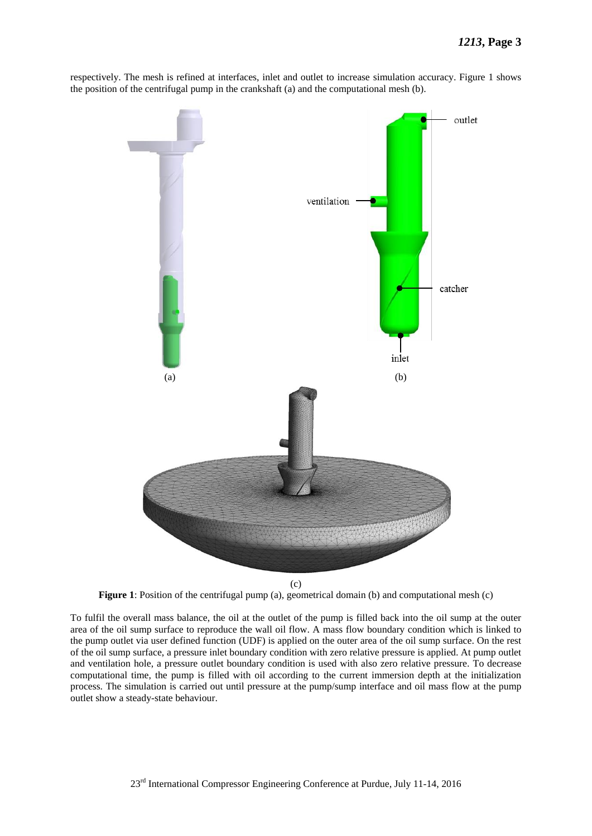

respectively. The mesh is refined at interfaces, inlet and outlet to increase simulation accuracy. Figure 1 shows the position of the centrifugal pump in the crankshaft (a) and the computational mesh (b).

**Figure 1**: Position of the centrifugal pump (a), geometrical domain (b) and computational mesh (c)

To fulfil the overall mass balance, the oil at the outlet of the pump is filled back into the oil sump at the outer area of the oil sump surface to reproduce the wall oil flow. A mass flow boundary condition which is linked to the pump outlet via user defined function (UDF) is applied on the outer area of the oil sump surface. On the rest of the oil sump surface, a pressure inlet boundary condition with zero relative pressure is applied. At pump outlet and ventilation hole, a pressure outlet boundary condition is used with also zero relative pressure. To decrease computational time, the pump is filled with oil according to the current immersion depth at the initialization process. The simulation is carried out until pressure at the pump/sump interface and oil mass flow at the pump outlet show a steady-state behaviour.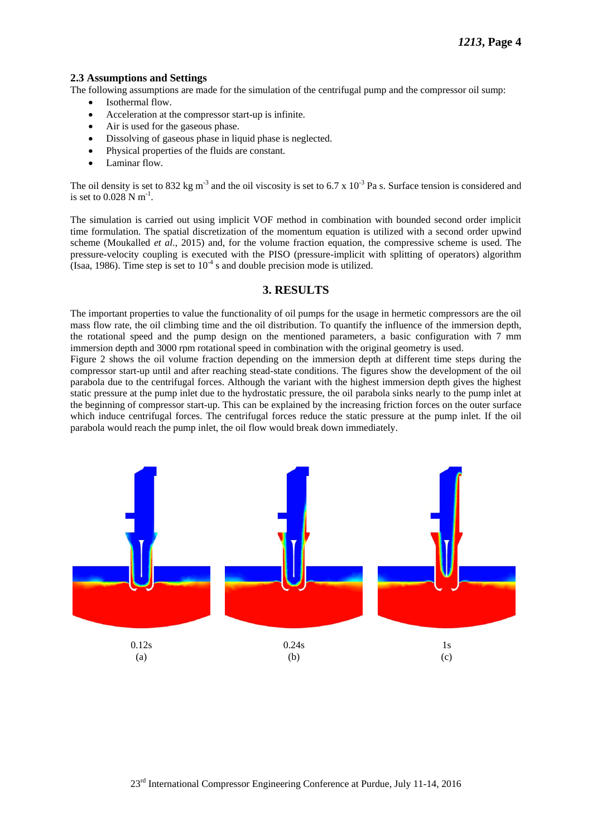### **2.3 Assumptions and Settings**

The following assumptions are made for the simulation of the centrifugal pump and the compressor oil sump:

- Isothermal flow.
- Acceleration at the compressor start-up is infinite.
- Air is used for the gaseous phase.
- Dissolving of gaseous phase in liquid phase is neglected.
- Physical properties of the fluids are constant.
- Laminar flow.

The oil density is set to 832 kg m<sup>-3</sup> and the oil viscosity is set to 6.7 x 10<sup>-3</sup> Pa s. Surface tension is considered and is set to  $0.028$  N m<sup>-1</sup>.

The simulation is carried out using implicit VOF method in combination with bounded second order implicit time formulation. The spatial discretization of the momentum equation is utilized with a second order upwind scheme (Moukalled *et al*., 2015) and, for the volume fraction equation, the compressive scheme is used. The pressure-velocity coupling is executed with the PISO (pressure-implicit with splitting of operators) algorithm (Isaa, 1986). Time step is set to  $10^{-4}$  s and double precision mode is utilized.

# **3. RESULTS**

The important properties to value the functionality of oil pumps for the usage in hermetic compressors are the oil mass flow rate, the oil climbing time and the oil distribution. To quantify the influence of the immersion depth, the rotational speed and the pump design on the mentioned parameters, a basic configuration with 7 mm immersion depth and 3000 rpm rotational speed in combination with the original geometry is used.

Figure 2 shows the oil volume fraction depending on the immersion depth at different time steps during the compressor start-up until and after reaching stead-state conditions. The figures show the development of the oil parabola due to the centrifugal forces. Although the variant with the highest immersion depth gives the highest static pressure at the pump inlet due to the hydrostatic pressure, the oil parabola sinks nearly to the pump inlet at the beginning of compressor start-up. This can be explained by the increasing friction forces on the outer surface which induce centrifugal forces. The centrifugal forces reduce the static pressure at the pump inlet. If the oil parabola would reach the pump inlet, the oil flow would break down immediately.



#### 23<sup>rd</sup> International Compressor Engineering Conference at Purdue, July 11-14, 2016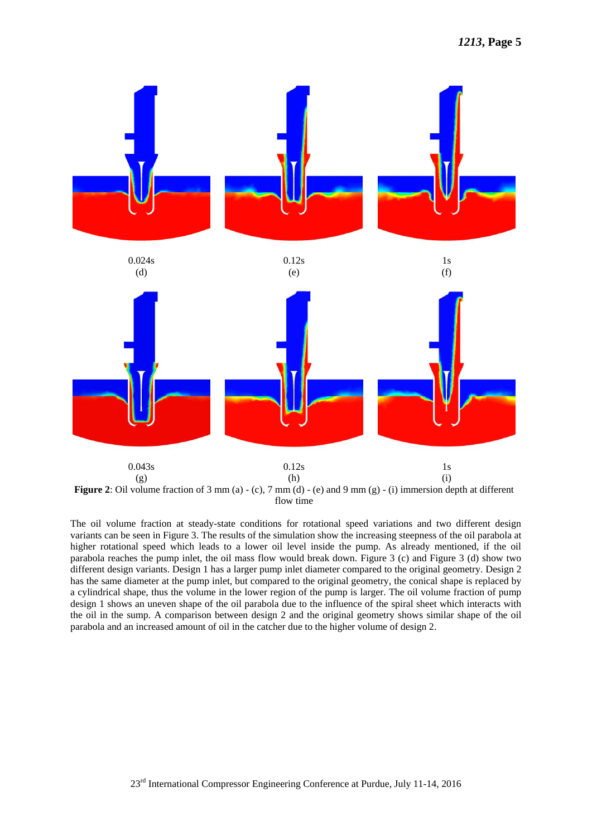

flow time

The oil volume fraction at steady-state conditions for rotational speed variations and two different design variants can be seen in Figure 3. The results of the simulation show the increasing steepness of the oil parabola at higher rotational speed which leads to a lower oil level inside the pump. As already mentioned, if the oil parabola reaches the pump inlet, the oil mass flow would break down. Figure 3 (c) and Figure 3 (d) show two different design variants. Design 1 has a larger pump inlet diameter compared to the original geometry. Design 2 has the same diameter at the pump inlet, but compared to the original geometry, the conical shape is replaced by a cylindrical shape, thus the volume in the lower region of the pump is larger. The oil volume fraction of pump design 1 shows an uneven shape of the oil parabola due to the influence of the spiral sheet which interacts with the oil in the sump. A comparison between design 2 and the original geometry shows similar shape of the oil parabola and an increased amount of oil in the catcher due to the higher volume of design 2.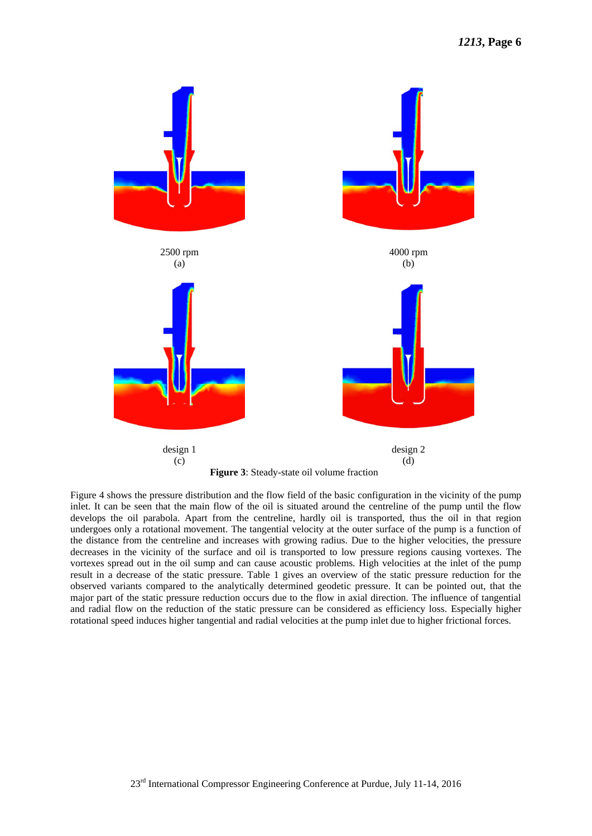

**Figure 3**: Steady-state oil volume fraction

Figure 4 shows the pressure distribution and the flow field of the basic configuration in the vicinity of the pump inlet. It can be seen that the main flow of the oil is situated around the centreline of the pump until the flow develops the oil parabola. Apart from the centreline, hardly oil is transported, thus the oil in that region undergoes only a rotational movement. The tangential velocity at the outer surface of the pump is a function of the distance from the centreline and increases with growing radius. Due to the higher velocities, the pressure decreases in the vicinity of the surface and oil is transported to low pressure regions causing vortexes. The vortexes spread out in the oil sump and can cause acoustic problems. High velocities at the inlet of the pump result in a decrease of the static pressure. Table 1 gives an overview of the static pressure reduction for the observed variants compared to the analytically determined geodetic pressure. It can be pointed out, that the major part of the static pressure reduction occurs due to the flow in axial direction. The influence of tangential and radial flow on the reduction of the static pressure can be considered as efficiency loss. Especially higher rotational speed induces higher tangential and radial velocities at the pump inlet due to higher frictional forces.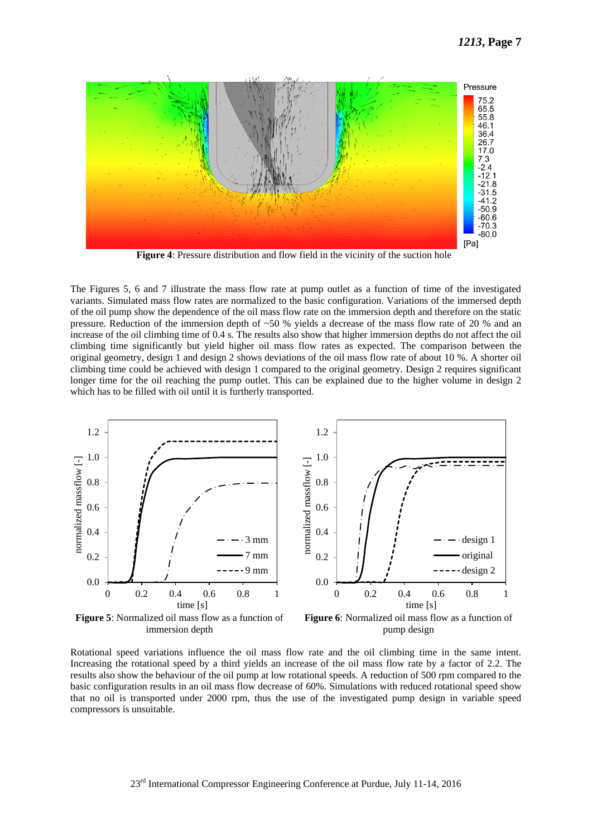

**Figure 4**: Pressure distribution and flow field in the vicinity of the suction hole

The Figures 5, 6 and 7 illustrate the mass flow rate at pump outlet as a function of time of the investigated variants. Simulated mass flow rates are normalized to the basic configuration. Variations of the immersed depth of the oil pump show the dependence of the oil mass flow rate on the immersion depth and therefore on the static pressure. Reduction of the immersion depth of  $\sim 50\%$  yields a decrease of the mass flow rate of 20 % and an increase of the oil climbing time of 0.4 s. The results also show that higher immersion depths do not affect the oil climbing time significantly but yield higher oil mass flow rates as expected. The comparison between the original geometry, design 1 and design 2 shows deviations of the oil mass flow rate of about 10 %. A shorter oil climbing time could be achieved with design 1 compared to the original geometry. Design 2 requires significant longer time for the oil reaching the pump outlet. This can be explained due to the higher volume in design 2 which has to be filled with oil until it is furtherly transported.



**Figure 5**: Normalized oil mass flow as a function of immersion depth

**Figure 6**: Normalized oil mass flow as a function of pump design

Rotational speed variations influence the oil mass flow rate and the oil climbing time in the same intent. Increasing the rotational speed by a third yields an increase of the oil mass flow rate by a factor of 2.2. The results also show the behaviour of the oil pump at low rotational speeds. A reduction of 500 rpm compared to the basic configuration results in an oil mass flow decrease of 60%. Simulations with reduced rotational speed show that no oil is transported under 2000 rpm, thus the use of the investigated pump design in variable speed compressors is unsuitable.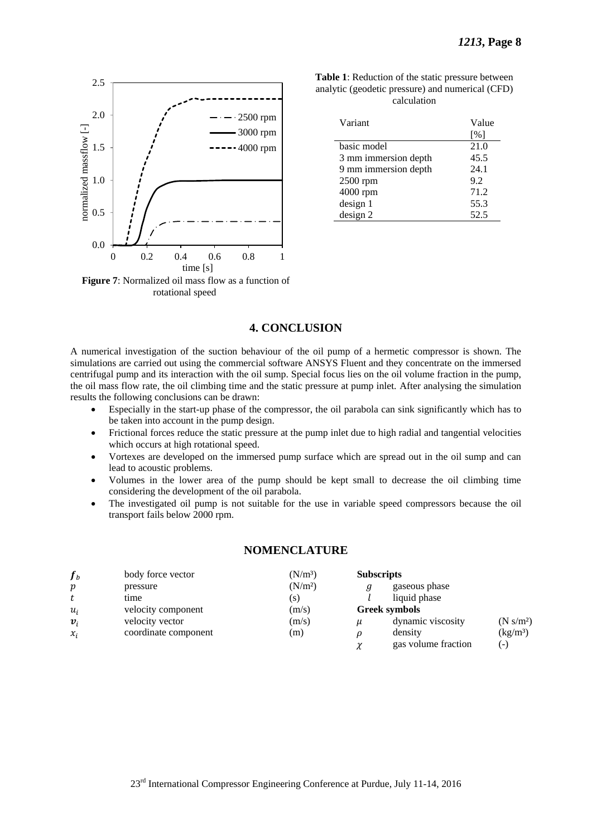

**Figure 7**: Normalized oil mass flow as a function of rotational speed

| <b>Table 1:</b> Reduction of the static pressure between |  |  |  |  |
|----------------------------------------------------------|--|--|--|--|
| analytic (geodetic pressure) and numerical (CFD)         |  |  |  |  |
| calculation                                              |  |  |  |  |
|                                                          |  |  |  |  |

| Variant              | Value |  |
|----------------------|-------|--|
|                      | [%]   |  |
| basic model          | 21.0  |  |
| 3 mm immersion depth | 45.5  |  |
| 9 mm immersion depth | 24.1  |  |
| $2500$ rpm           | 9.2   |  |
| 4000 rpm             | 71.2  |  |
| design 1             | 55.3  |  |
| design <sub>2</sub>  | 52.5  |  |

# **4. CONCLUSION**

A numerical investigation of the suction behaviour of the oil pump of a hermetic compressor is shown. The simulations are carried out using the commercial software ANSYS Fluent and they concentrate on the immersed centrifugal pump and its interaction with the oil sump. Special focus lies on the oil volume fraction in the pump, the oil mass flow rate, the oil climbing time and the static pressure at pump inlet. After analysing the simulation results the following conclusions can be drawn:

- Especially in the start-up phase of the compressor, the oil parabola can sink significantly which has to be taken into account in the pump design.
- Frictional forces reduce the static pressure at the pump inlet due to high radial and tangential velocities which occurs at high rotational speed.
- Vortexes are developed on the immersed pump surface which are spread out in the oil sump and can lead to acoustic problems.
- Volumes in the lower area of the pump should be kept small to decrease the oil climbing time considering the development of the oil parabola.
- The investigated oil pump is not suitable for the use in variable speed compressors because the oil transport fails below 2000 rpm.

# **NOMENCLATURE**

| $\boldsymbol{f}_b$ | body force vector    | $(N/m^3)$           | <b>Subscripts</b>    |                     |                      |
|--------------------|----------------------|---------------------|----------------------|---------------------|----------------------|
| $\boldsymbol{p}$   | pressure             | (N/m <sup>2</sup> ) |                      | gaseous phase       |                      |
|                    | time                 | (s)                 |                      | liquid phase        |                      |
| $u_i$              | velocity component   | (m/s)               | <b>Greek symbols</b> |                     |                      |
| $v_i$              | velocity vector      | (m/s)               | и                    | dynamic viscosity   | $(N \text{ s/m}^2)$  |
| $\mathcal{X}_i$    | coordinate component | (m)                 |                      | density             | (kg/m <sup>3</sup> ) |
|                    |                      |                     |                      | gas volume fraction | $(-)$                |